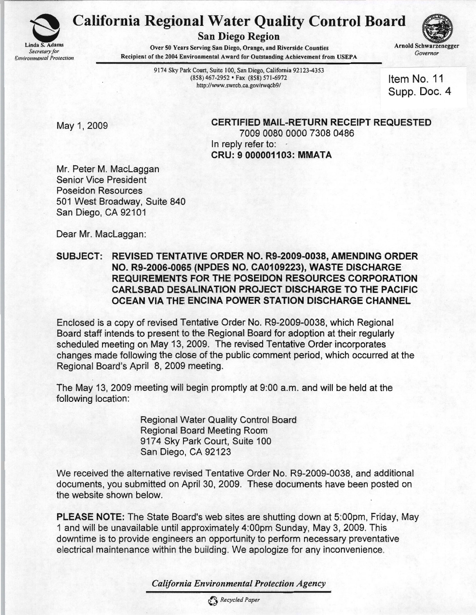

## California Regional W~ter Q~ality Control Board San Diego Region



Over 50 Years Serving San Diego, Orange, and Riverside Counties Arnold Schwarzenegger<br>Covernor Recipient of the 2004 Environmental Award for Outstanding Achievement from USEPA

9174 Sky Park Court, Suite 100, San Diego, California 92123-4353 (858)467-2952· Fax (858) 571-6972 http://www.swrcb.ca.gov/rwqcb9/

Item No. 11 Supp. Doc. 4

May 1, 2009 **CERTIFIED MAIL-RETURN RECEIPT REQUESTED** 7009 0080 0000 7308 0486 In reply refer to: CRU: 9000001103: MMATA

Mr. Peter M. MacLaggan Senior Vice President Poseidon Resources 501 West Broadway, Suite 840 San Diego, CA 92101

Dear Mr. MacLaggan:

## SUBJECT: REVISED TENTATIVE ORDER NO. R9-2009.0038, AMENDING ORDER NO. R9·2006·0065 (NPDES NO. CA0109223), WASTE DISCHARGE REQUIREMENTS FOR THE POSEIDON RESOURCES CORPORATION CARLSBAD DESALINATION PROJECT DISCHARGE. TO THE PACIFIC OCEAN VIA THE ENCINA POWER STATION DISCHARGE CHANNEL

Enclosed is a copy of revised Tentative Order No. R9-2009-0038, which Regional Board staff intends to present to the Regional Board for adoption at their regularly scheduled meeting on May 13, 2009. The revised Tentative Order incorporates changes made following the close of the public comment period, which occurred at the Regional Board's April 8, 2009 meeting.

The May 13, 2009 meeting will begin promptly at 9:00 a.m. and will be held at the following location:

> Regional Water Quality Control Board Regional Board Meeting Room 9174 Sky Park Court, Suite 100 San Diego, CA 92123

We received the alternative revised Tentative Order No. R9-2009-0038, and additional documents, you submitted on April 30, 2009. These documents have been posted on the website shown below.

PLEASE NOTE: The State Board's web sites are shutting down at 5:00pm, Friday, May 1 and will be unavailable until approximately 4:00pm Sunday, May 3, 2009. This downtime is to provide engineers an opportunity to perform necessary preventative electrical maintenance within the building. We apologize for any inconvenience.

*California Environmental Protection Agency*

o *Recycled Paper*